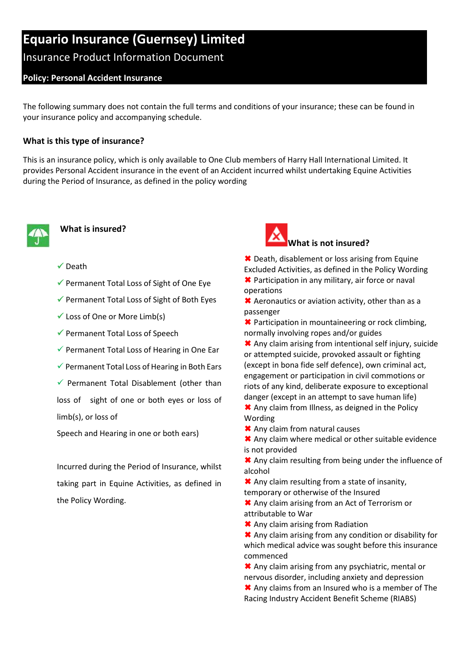# **Equario Insurance (Guernsey) Limited**

# Insurance Product Information Document

# **Policy: Personal Accident Insurance**

The following summary does not contain the full terms and conditions of your insurance; these can be found in your insurance policy and accompanying schedule.

#### **What is this type of insurance?**

This is an insurance policy, which is only available to One Club members of Harry Hall International Limited. It provides Personal Accident insurance in the event of an Accident incurred whilst undertaking Equine Activities during the Period of Insurance, as defined in the policy wording



#### **What is insured?**

#### $\checkmark$  Death

- $\checkmark$  Permanent Total Loss of Sight of One Eye
- $\checkmark$  Permanent Total Loss of Sight of Both Eyes
- $\checkmark$  Loss of One or More Limb(s)
- Permanent Total Loss of Speech
- $\checkmark$  Permanent Total Loss of Hearing in One Ear
- $\checkmark$  Permanent Total Loss of Hearing in Both Ears
- $\checkmark$  Permanent Total Disablement (other than

loss of sight of one or both eyes or loss of limb(s), or loss of

Speech and Hearing in one or both ears)

Incurred during the Period of Insurance, whilst taking part in Equine Activities, as defined in the Policy Wording.



**<sup>★</sup>** Death, disablement or loss arising from Equine Excluded Activities, as defined in the Policy Wording **★** Participation in any military, air force or naval operations

**\*** Aeronautics or aviation activity, other than as a passenger

**\*** Participation in mountaineering or rock climbing, normally involving ropes and/or guides

 Any claim arising from intentional self injury, suicide or attempted suicide, provoked assault or fighting (except in bona fide self defence), own criminal act, engagement or participation in civil commotions or riots of any kind, deliberate exposure to exceptional danger (except in an attempt to save human life)

**★** Any claim from Illness, as deigned in the Policy Wording

\* Any claim from natural causes

★ Any claim where medical or other suitable evidence is not provided

\* Any claim resulting from being under the influence of alcohol

\* Any claim resulting from a state of insanity, temporary or otherwise of the Insured

 Any claim arising from an Act of Terrorism or attributable to War

**\*** Any claim arising from Radiation

 Any claim arising from any condition or disability for which medical advice was sought before this insurance commenced

\* Any claim arising from any psychiatric, mental or nervous disorder, including anxiety and depression

\* Any claims from an Insured who is a member of The Racing Industry Accident Benefit Scheme (RIABS)